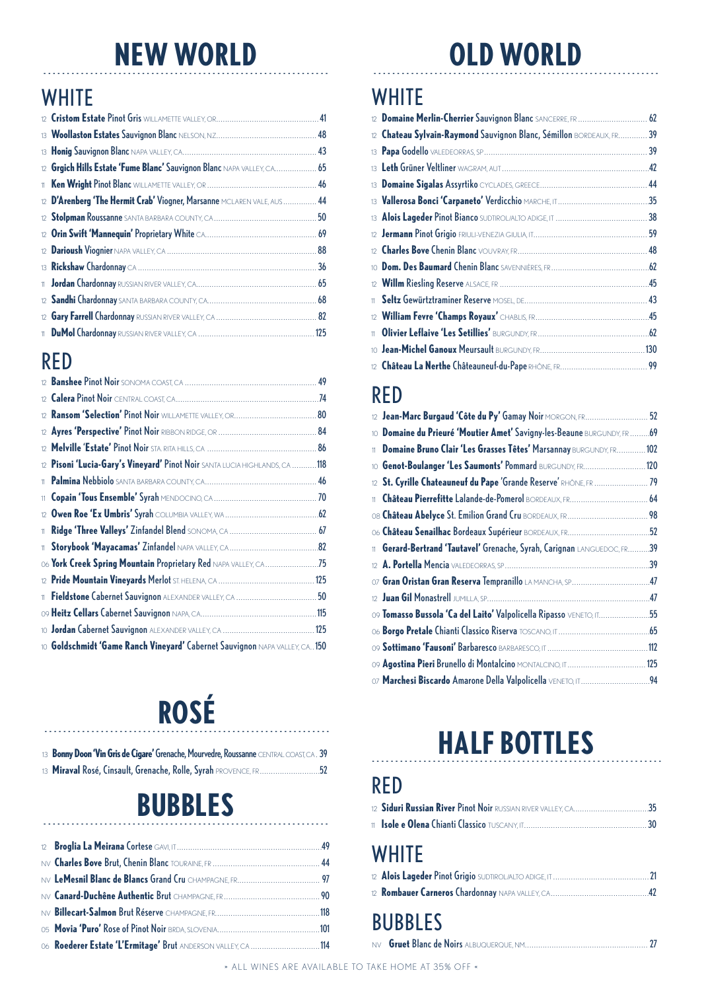### **NEW WORLD CLD WORLD**

#### **WHITE**

| 12 Grgich Hills Estate 'Fume Blanc' Sauvignon Blanc NAPA VALLEY, CA 65 |  |
|------------------------------------------------------------------------|--|
|                                                                        |  |
| 12 D'Arenberg 'The Hermit Crab' Viogner, Marsanne MCLAREN VALE, AUS 44 |  |
|                                                                        |  |
|                                                                        |  |
|                                                                        |  |
|                                                                        |  |
|                                                                        |  |
|                                                                        |  |
|                                                                        |  |
|                                                                        |  |
|                                                                        |  |

#### RED

| 12 <sup>°</sup> |                                                                             |  |
|-----------------|-----------------------------------------------------------------------------|--|
| 12 <sup>°</sup> |                                                                             |  |
|                 | 12 Pisoni 'Lucia-Gary's Vineyard' Pinot Noir SANTA LUCIA HIGHLANDS, CA  118 |  |
| 11              |                                                                             |  |
| 11              |                                                                             |  |
| 12 <sup>°</sup> |                                                                             |  |
| $\mathbf{11}$   |                                                                             |  |
| $11 -$          |                                                                             |  |
|                 | O6 York Creek Spring Mountain Proprietary Red NAPA VALLEY, CA75             |  |
|                 |                                                                             |  |
| 11              |                                                                             |  |
|                 |                                                                             |  |
|                 |                                                                             |  |
|                 | 10 Goldschmidt 'Game Ranch Vineyard' Cabernet Sauvignon NAPA VALLEY, CA 150 |  |
|                 |                                                                             |  |

# ROSÉ

| 13 <b>Bonny Doon 'Vin Gris de Cigare' Grenache, Mourvedre, Roussanne</b> CENTRAL COAST, CA. 39 |  |
|------------------------------------------------------------------------------------------------|--|
|                                                                                                |  |

## **BUBBLES**

| 06 Roederer Estate 'L'Ermitage' Brut ANDERSON VALLEY, CA 114 |  |
|--------------------------------------------------------------|--|

#### **WHITE**

| 12 <sup>°</sup> | Domaine Merlin-Cherrier Sauvignon Blanc SANCERRE, FR.  62            |    |
|-----------------|----------------------------------------------------------------------|----|
|                 | 12 Chateau Sylvain-Raymond Sauvignon Blanc, Sémillon BORDEAUX, FR 39 |    |
| 13 <sup>°</sup> |                                                                      | 39 |
|                 |                                                                      | 42 |
|                 |                                                                      |    |
|                 |                                                                      |    |
|                 |                                                                      |    |
|                 |                                                                      |    |
|                 |                                                                      |    |
|                 |                                                                      |    |
|                 |                                                                      |    |
| 11              |                                                                      |    |
|                 |                                                                      |    |
| 11              |                                                                      |    |
| 10 <sup>1</sup> |                                                                      |    |
|                 |                                                                      |    |

#### RED

|    | 12 Jean-Marc Burgaud 'Côte du Py' Gamay Noir MORGON, FR 52              |  |
|----|-------------------------------------------------------------------------|--|
|    | 10 Domaine du Prieuré 'Moutier Amet' Savigny-les-Beaune BURGUNDY, FR 69 |  |
| 11 | Domaine Bruno Clair 'Les Grasses Têtes' Marsannay BURGUNDY, FR 102      |  |
|    | 10 Genot-Boulanger 'Les Saumonts' Pommard BURGUNDY, FR 120              |  |
|    |                                                                         |  |
|    | 11 Château Pierrefitte Lalande-de-Pomerol BORDEAUX, FR 64               |  |
|    | OB Château Abelyce St. Emilion Grand Cru BORDEAUX, FR 98                |  |
|    | 06 Château Senailhac Bordeaux Supérieur BORDEAUX, FR52                  |  |
|    | 11 Gerard-Bertrand 'Tautavel' Grenache, Syrah, Carignan LANGUEDOC, FR39 |  |
|    |                                                                         |  |
|    | 07 Gran Oristan Gran Reserva Tempranillo LA MANCHA, SP47                |  |
|    |                                                                         |  |
|    | 09 Tomasso Bussola 'Ca del Laito' Valpolicella Ripasso VENETO, IT55     |  |
|    |                                                                         |  |
|    |                                                                         |  |
|    | 09 Agostina Pieri Brunello di Montalcino MONTALCINO, IT 125             |  |
|    |                                                                         |  |

### **HALF BOTTLES**

#### RED

### **WHITE**

BUBBLES

|--|--|--|